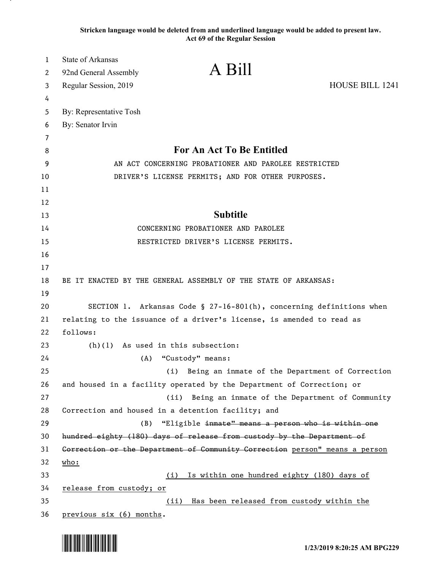**Stricken language would be deleted from and underlined language would be added to present law. Act 69 of the Regular Session**

| $\mathbf{1}$ | <b>State of Arkansas</b>                                                     |                 |
|--------------|------------------------------------------------------------------------------|-----------------|
| 2            | A Bill<br>92nd General Assembly                                              |                 |
| 3            | Regular Session, 2019                                                        | HOUSE BILL 1241 |
| 4            |                                                                              |                 |
| 5            | By: Representative Tosh                                                      |                 |
| 6            | By: Senator Irvin                                                            |                 |
| 7            |                                                                              |                 |
| 8            | <b>For An Act To Be Entitled</b>                                             |                 |
| 9            | AN ACT CONCERNING PROBATIONER AND PAROLEE RESTRICTED                         |                 |
| 10           | DRIVER'S LICENSE PERMITS; AND FOR OTHER PURPOSES.                            |                 |
| 11           |                                                                              |                 |
| 12           |                                                                              |                 |
| 13           | <b>Subtitle</b>                                                              |                 |
| 14           | CONCERNING PROBATIONER AND PAROLEE                                           |                 |
| 15           | RESTRICTED DRIVER'S LICENSE PERMITS.                                         |                 |
| 16           |                                                                              |                 |
| 17           |                                                                              |                 |
| 18           | BE IT ENACTED BY THE GENERAL ASSEMBLY OF THE STATE OF ARKANSAS:              |                 |
| 19           |                                                                              |                 |
| 20           | SECTION 1. Arkansas Code § 27-16-801(h), concerning definitions when         |                 |
| 21           | relating to the issuance of a driver's license, is amended to read as        |                 |
| 22           | follows:                                                                     |                 |
| 23           | (h)(1) As used in this subsection:                                           |                 |
| 24<br>25     | (A)<br>"Custody" means:<br>Being an inmate of the Department of Correction   |                 |
| 26           | (i)<br>and housed in a facility operated by the Department of Correction; or |                 |
| 27           | Being an inmate of the Department of Community<br>(ii)                       |                 |
| 28           | Correction and housed in a detention facility; and                           |                 |
| 29           | "Eligible inmate" means a person who is within one<br>(B)                    |                 |
| 30           | hundred eighty (180) days of release from custody by the Department of       |                 |
| 31           | Gorrection or the Department of Community Correction person" means a person  |                 |
| 32           | $\underline{who:}$                                                           |                 |
| 33           | Is within one hundred eighty (180) days of<br>(i)                            |                 |
| 34           | release from custody; or                                                     |                 |
| 35           | Has been released from custody within the<br>(ii)                            |                 |
| 36           | previous six (6) months.                                                     |                 |

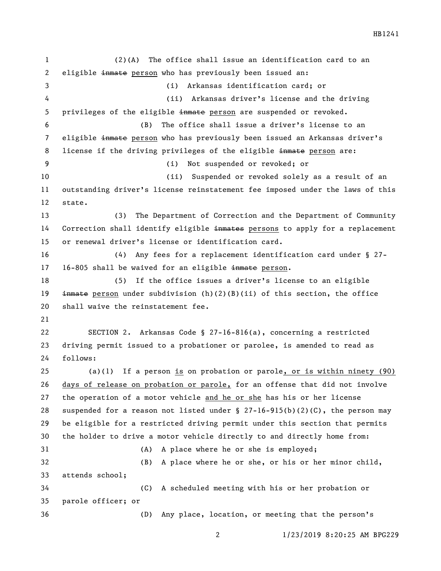HB1241

 (2)(A) The office shall issue an identification card to an eligible inmate person who has previously been issued an: (i) Arkansas identification card; or (ii) Arkansas driver's license and the driving 5 privileges of the eligible in the person are suspended or revoked. (B) The office shall issue a driver's license to an 7 eligible in the person who has previously been issued an Arkansas driver's 8 license if the driving privileges of the eligible in the person are: (i) Not suspended or revoked; or (ii) Suspended or revoked solely as a result of an outstanding driver's license reinstatement fee imposed under the laws of this state. (3) The Department of Correction and the Department of Community 14 Correction shall identify eligible inmates persons to apply for a replacement or renewal driver's license or identification card. (4) Any fees for a replacement identification card under § 27- 17 16-805 shall be waived for an eligible inmate person. (5) If the office issues a driver's license to an eligible  $\pm$ mmate person under subdivision (h)(2)(B)(ii) of this section, the office shall waive the reinstatement fee. SECTION 2. Arkansas Code § 27-16-816(a), concerning a restricted driving permit issued to a probationer or parolee, is amended to read as follows: (a)(1) If a person is on probation or parole, or is within ninety (90) days of release on probation or parole, for an offense that did not involve the operation of a motor vehicle and he or she has his or her license suspended for a reason not listed under § 27-16-915(b)(2)(C), the person may be eligible for a restricted driving permit under this section that permits the holder to drive a motor vehicle directly to and directly home from: (A) A place where he or she is employed; (B) A place where he or she, or his or her minor child, attends school; (C) A scheduled meeting with his or her probation or parole officer; or (D) Any place, location, or meeting that the person's

1/23/2019 8:20:25 AM BPG229